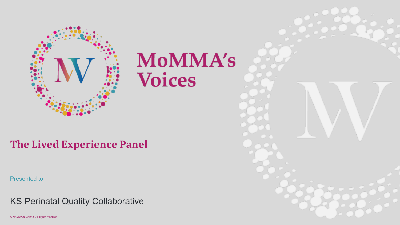

# **MoMMA's Voices**

#### **The Lived Experience Panel**

Presented to

KS Perinatal Quality Collaborative

© MoMMA's Voices. All rights reserved.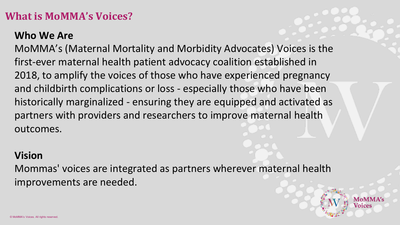#### **What is MoMMA's Voices?**

#### **Who We Are**

MoMMA's (Maternal Mortality and Morbidity Advocates) Voices is the first-ever maternal health patient advocacy coalition established in 2018, to amplify the voices of those who have experienced pregnancy and childbirth complications or loss - especially those who have been historically marginalized - ensuring they are equipped and activated as partners with providers and researchers to improve maternal health outcomes.

#### **Vision**

Mommas' voices are integrated as partners wherever maternal health improvements are needed.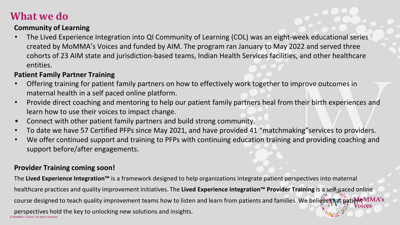#### **What we do**

#### **Community of Learning**

• The Lived Experience Integration into QI Community of Learning (COL) was an eight-week educational series created by MoMMA's Voices and funded by AIM. The program ran January to May 2022 and served three cohorts of 23 AIM state and jurisdiction-based teams, Indian Health Services facilities, and other healthcare entities.

#### **Patient Family Partner Training**

- Offering training for patient family partners on how to effectively work together to improve outcomes in maternal health in a self paced online platform.
- Provide direct coaching and mentoring to help our patient family partners heal from their birth experiences and learn how to use their voices to impact change.
- Connect with other patient family partners and build strong community.
- To date we have 57 Certified PFPs since May 2021, and have provided 41 "matchmaking"services to providers.
- We offer continued support and training to PFPs with continuing education training and providing coaching and support before/after engagements.

#### **Provider Training coming soon!**

The **Lived Experience Integration™** is a framework designed to help organizations integrate patient perspectives into maternal healthcare practices and quality improvement initiatives. The **Lived Experience Integration™ Provider Training** is a self-paced online course designed to teach quality improvement teams how to listen and learn from patients and families. We believe that patient MMA's

© MoMMA's Voices. All rights reserved. perspectives hold the key to unlocking new solutions and insights.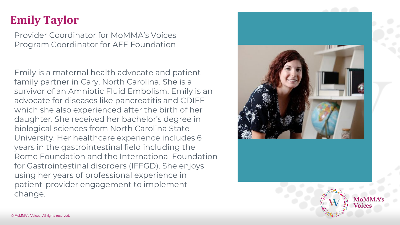### **Emily Taylor**

Provider Coordinator for MoMMA's Voices Program Coordinator for AFE Foundation

Emily is a maternal health advocate and patient family partner in Cary, North Carolina. She is a survivor of an Amniotic Fluid Embolism. Emily is an advocate for diseases like pancreatitis and CDIFF which she also experienced after the birth of her daughter. She received her bachelor's degree in biological sciences from North Carolina State University. Her healthcare experience includes 6 years in the gastrointestinal field including the Rome Foundation and the International Foundation for Gastrointestinal disorders (IFFGD). She enjoys using her years of professional experience in patient-provider engagement to implement change.



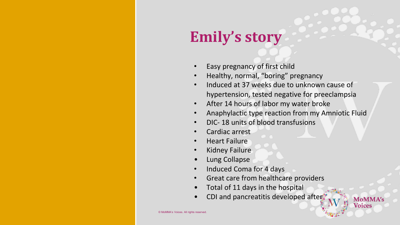## **Emily's story**

- Easy pregnancy of first child
- Healthy, normal, "boring" pregnancy
- Induced at 37 weeks due to unknown cause of hypertension, tested negative for preeclampsia
- After 14 hours of labor my water broke
- Anaphylactic type reaction from my Amniotic Fluid

**MoMMA's Voices** 

- DIC- 18 units of blood transfusions
- Cardiac arrest
- Heart Failure
- Kidney Failure
- Lung Collapse
- Induced Coma for 4 days
- Great care from healthcare providers
- Total of 11 days in the hospital
- CDI and pancreatitis developed after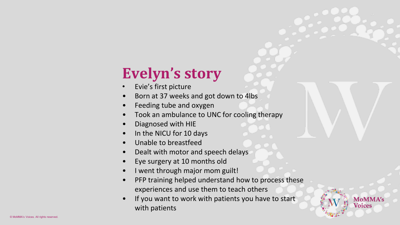## **Evelyn's story**

- Evie's first picture
- Born at 37 weeks and got down to 4lbs
- Feeding tube and oxygen
- Took an ambulance to UNC for cooling therapy
- Diagnosed with HIE
- In the NICU for 10 days
- Unable to breastfeed
- Dealt with motor and speech delays
- Eye surgery at 10 months old
- I went through major mom guilt!
- PFP training helped understand how to process these experiences and use them to teach others
- If you want to work with patients you have to start with patients

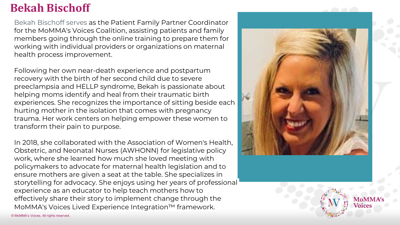#### **Bekah Bischoff**

Bekah Bischoff serves as the Patient Family Partner Coordinator for the MoMMA's Voices Coalition, assisting patients and family members going through the online training to prepare them for working with individual providers or organizations on maternal health process improvement.

Following her own near-death experience and postpartum recovery with the birth of her second child due to severe preeclampsia and HELLP syndrome, Bekah is passionate about helping moms identify and heal from their traumatic birth experiences. She recognizes the importance of sitting beside each hurting mother in the isolation that comes with pregnancy trauma. Her work centers on helping empower these women to transform their pain to purpose.

In 2018, she collaborated with the Association of Women's Health, Obstetric, and Neonatal Nurses (AWHONN) for legislative policy work, where she learned how much she loved meeting with policymakers to advocate for maternal health legislation and to ensure mothers are given a seat at the table. She specializes in storytelling for advocacy. She enjoys using her years of professional experience as an educator to help teach mothers how to effectively share their story to implement change through the MoMMA's Voices Lived Experience Integration™ framework.



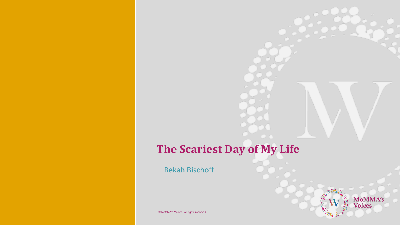### **The Scariest Day of My Life**

**MoMMA's**<br>Voices

Bekah Bischoff

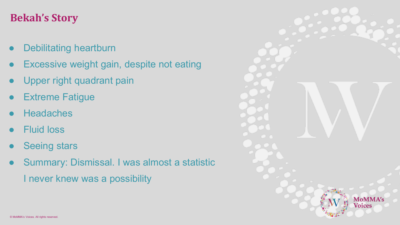#### **Bekah's Story**

- **Debilitating heartburn**
- Excessive weight gain, despite not eating
- Upper right quadrant pain
- **Extreme Fatigue**
- **Headaches**
- **Fluid loss**
- **Seeing stars**
- Summary: Dismissal. I was almost a statistic

I never knew was a possibility

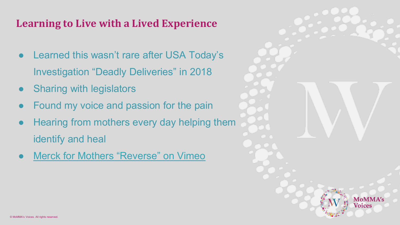#### **Learning to Live with a Lived Experience**

- Learned this wasn't rare after USA Today's Investigation "Deadly Deliveries" in 2018
- **Sharing with legislators**
- Found my voice and passion for the pain
- Hearing from mothers every day helping them identify and heal
- **[Merck for Mothers "Reverse" on Vimeo](https://vimeo.com/474044917)**

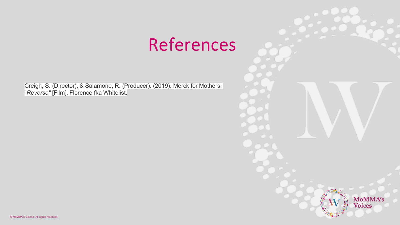## References

Creigh, S. (Director), & Salamone, R. (Producer). (2019). Merck for Mothers: "*Reverse"* [Film]. Florence fka Whitelist.

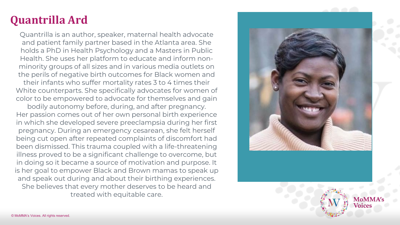### **Quantrilla Ard**

Quantrilla is an author, speaker, maternal health advocate and patient family partner based in the Atlanta area. She holds a PhD in Health Psychology and a Masters in Public Health. She uses her platform to educate and inform nonminority groups of all sizes and in various media outlets on the perils of negative birth outcomes for Black women and

their infants who suffer mortality rates 3 to 4 times their White counterparts. She specifically advocates for women of color to be empowered to advocate for themselves and gain

bodily autonomy before, during, and after pregnancy. Her passion comes out of her own personal birth experience in which she developed severe preeclampsia during her first pregnancy. During an emergency cesarean, she felt herself being cut open after repeated complaints of discomfort had been dismissed. This trauma coupled with a life-threatening illness proved to be a significant challenge to overcome, but in doing so it became a source of motivation and purpose. It is her goal to empower Black and Brown mamas to speak up and speak out during and about their birthing experiences. She believes that every mother deserves to be heard and treated with equitable care.



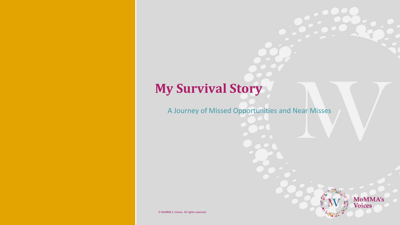### **My Survival Story**

A Journey of Missed Opportunities and Near Misses



© MoMMA's Voices. All rights reserved.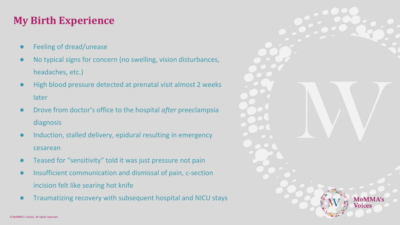#### **My Birth Experience**

- Feeling of dread/unease
- No typical signs for concern (no swelling, vision disturbances, headaches, etc.)
- High blood pressure detected at prenatal visit almost 2 weeks later
- Drove from doctor's office to the hospital *after* preeclampsia diagnosis
- Induction, stalled delivery, epidural resulting in emergency cesarean
- Teased for "sensitivity" told it was just pressure not pain
- Insufficient communication and dismissal of pain, c-section incision felt like searing hot knife
- Traumatizing recovery with subsequent hospital and NICU stays

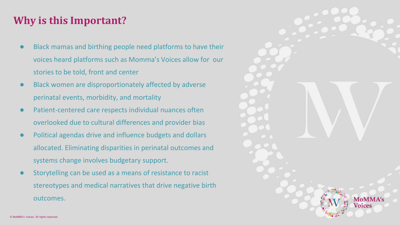#### **Why is this Important?**

- Black mamas and birthing people need platforms to have their voices heard platforms such as Momma's Voices allow for our stories to be told, front and center
- Black women are disproportionately affected by adverse perinatal events, morbidity, and mortality
- Patient-centered care respects individual nuances often overlooked due to cultural differences and provider bias
- Political agendas drive and influence budgets and dollars allocated. Eliminating disparities in perinatal outcomes and systems change involves budgetary support.
- Storytelling can be used as a means of resistance to racist stereotypes and medical narratives that drive negative birth outcomes.